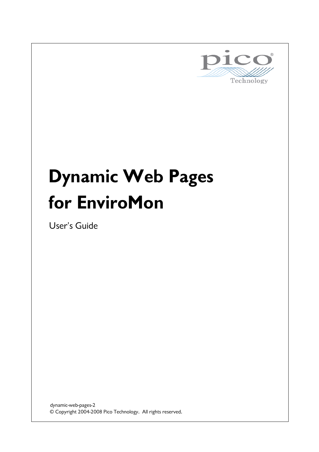

# **Dynamic Web Pages for EnviroMon**

User's Guide

© Copyright 2004-2008 Pico Technology. All rights reserved. dynamic-web-pages-2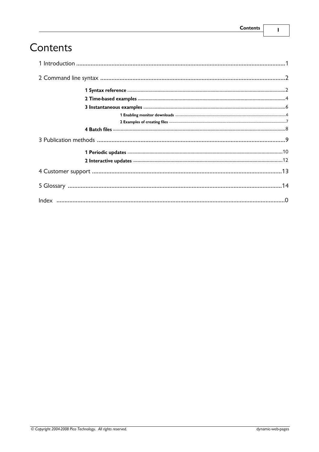$\mathbf I$ 

# Contents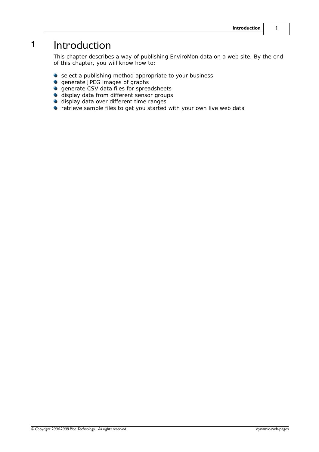# <span id="page-4-0"></span>**1** Introduction

This chapter describes a way of publishing EnviroMon data on a web site. By the end of this chapter, you will know how to:

- **•** select a publishing method appropriate to your business
- **generate JPEG images of graphs**
- **o** generate CSV data files for spreadsheets
- **display data from different sensor groups**
- **display data over different time ranges**
- $\bullet$  retrieve sample files to get you started with your own live web data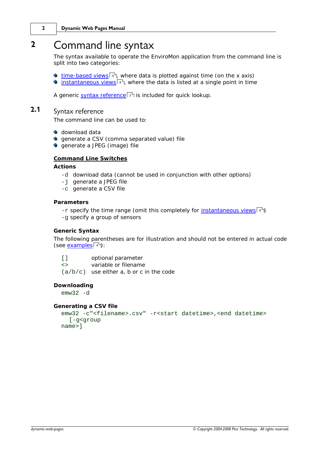# <span id="page-5-0"></span>**2** Command line syntax

The syntax available to operate the EnviroMon application from the command line is split into two categories:

- [time-based views](#page-7-0)<sup>|4</sup>, where data is plotted against time (on the x axis)
- <u>[instantaneous views](#page-9-0)</u>  $\binom{a}{b}$ , where the data is listed at a single point in time

A generic <u>[syntax reference](#page-5-1)</u>l <sup>2</sup> is included for quick lookup.

## <span id="page-5-1"></span>**2.1** Syntax reference

The command line can be used to:

- **download data**
- **generate a CSV (comma separated value) file**
- **generate a JPEG (image) file**

#### **Command Line Switches**

**Actions**

- -d download data (cannot be used in conjunction with other options)
- -j generate a JPEG file
- -c generate a CSV file

**Parameters**

- -r specify the time range (omit this completely for <u>instantaneous views</u> 6)
- -g specify a group of sensors

#### **Generic Syntax**

The following parentheses are for illustration and should not be entered in actual code (see <u>examples</u> 4 ):

| $\lceil$ $\rceil$ | optional parameter                         |
|-------------------|--------------------------------------------|
| $\langle$         | variable or filename                       |
|                   | $(a/b/c)$ use either a, b or c in the code |

**Downloading**

 $emw32 - d$ 

**Generating a CSV file**

```
emw32 -c"<filename>.csv" -r<start datetime>,<end datetime>
  [-g<group
name>]
```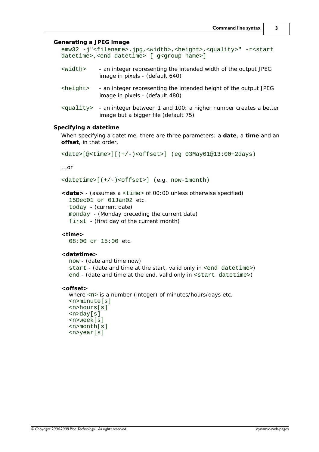**Generating a JPEG image** emw32 -j"<filename>.jpg,<width>,<height>,<quality>" -r<start datetime>,<end datetime> [-g<group name>] <width> - an integer representing the intended width of the output JPEG image in pixels - (default 640) <height> - an integer representing the intended height of the output JPEG image in pixels - (default 480) <quality> - an integer between 1 and 100; a higher number creates a better image but a bigger file (default 75) **Specifying a datetime** When specifying a datetime, there are three parameters: a **date**, a **time** and an **offset**, in that order. <date>[@<time>][(+/-)<offset>] (eg 03May01@13:00+2days) ...or <datetime>[(+/-)<offset>] (e.g. now-1month) **<date>** - (assumes a <time> of 00:00 unless otherwise specified) 15Dec01 or 01Jan02 etc. today - (current date) monday - (Monday preceding the current date) first - (first day of the current month) **<time>** 08:00 or 15:00 etc. **<datetime>** now - (date and time now) start - (date and time at the start, valid only in <end datetime>) end - (date and time at the end, valid only in <start datetime>) **<offset>** where <n> is a number (integer) of minutes/hours/days etc. <n>minute[s] <n>hours[s] <n>day[s] <n>week[s] <n>month[s]

<n>year[s]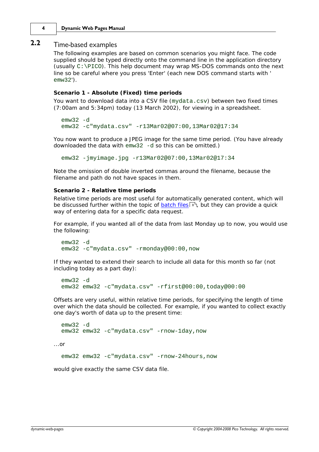#### **4 Dynamic Web Pages Manual**

### <span id="page-7-0"></span>**2.2** Time-based examples

The following examples are based on common scenarios you might face. The code supplied should be typed directly onto the command line in the application directory (usually C:\PICO). This help document may wrap MS-DOS commands onto the next line so be careful where you press 'Enter' (each new DOS command starts with ' emw32').

**Scenario 1 - Absolute (Fixed) time periods**

You want to download data into a CSV file (mydata.csv) between two fixed times (7:00am and 5:34pm) today (13 March 2002), for viewing in a spreadsheet.

```
emw32 -d
emw32 -c"mydata.csv" -r13Mar02@07:00,13Mar02@17:34
```
You now want to produce a JPEG image for the same time period. (You have already downloaded the data with emw32 -d so this can be omitted.)

emw32 -jmyimage.jpg -r13Mar02@07:00,13Mar02@17:34

Note the omission of double inverted commas around the filename, because the filename and path do not have spaces in them.

**Scenario 2 - Relative time periods**

Relative time periods are most useful for automatically generated content, which will be discussed further within the topic of <u>batch files</u> 8  $\,$  but they can provide a quick way of entering data for a specific data request.

For example, if you wanted all of the data from last Monday up to now, you would use the following:

```
emw32 - demw32 -c"mydata.csv" -rmonday@00:00,now
```
If they wanted to extend their search to include all data for this month so far (not including today as a part day):

```
emw32 - demw32 emw32 -c"mydata.csv" -rfirst@00:00,today@00:00
```
Offsets are very useful, within relative time periods, for specifying the length of time over which the data should be collected. For example, if you wanted to collect exactly one day's worth of data up to the present time:

```
emw32 - demw32 emw32 -c"mydata.csv" -rnow-1day,now
```
...or

emw32 emw32 -c"mydata.csv" -rnow-24hours,now

would give exactly the same CSV data file.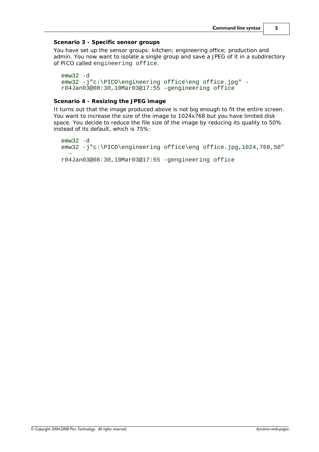**Scenario 3 - Specific sensor groups**

You have set up the sensor groups: kitchen; engineering office; production and admin. You now want to isolate a single group and save a JPEG of it in a subdirectory of PICO called engineering office.

```
emw32 -d
emw32 -j"c:\PICO\engineering office\eng office.jpg" -
r04Jan03@08:30,10Mar03@17:55 -gengineering office
```
#### **Scenario 4 - Resizing the JPEG image**

It turns out that the image produced above is not big enough to fit the entire screen. You want to increase the size of the image to 1024x768 but you have limited disk space. You decide to reduce the file size of the image by reducing its quality to 50% instead of its default, which is 75%:

```
emw32 - demw32 -j"c:\PICO\engineering office\eng office.jpg,1024,768,50"
  -
r04Jan03@08:30,10Mar03@17:55 -gengineering office
```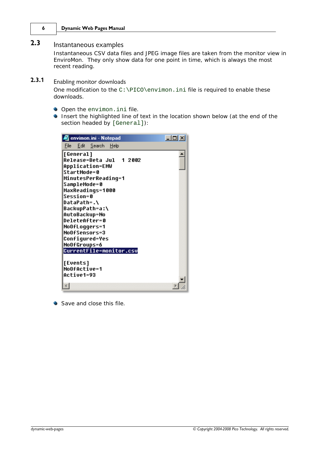#### **6 Dynamic Web Pages Manual**

### <span id="page-9-0"></span>**2.3** Instantaneous examples

Instantaneous CSV data files and JPEG image files are taken from the monitor view in EnviroMon. They only show data for one point in time, which is always the most recent reading.

## <span id="page-9-1"></span>**2.3.1** Enabling monitor downloads

One modification to the C:\PICO\envimon.ini file is required to enable these downloads.

- Open the envimon. ini file.
- **Insert the highlighted line of text in the location shown below (at the end of the** section headed by [General]):

| <b>C</b> envimon.ini - Notepad                                                                                                                                                                                                                                                                                                                                   | $ \Box$ $\times$ |
|------------------------------------------------------------------------------------------------------------------------------------------------------------------------------------------------------------------------------------------------------------------------------------------------------------------------------------------------------------------|------------------|
| <u>E</u> dit <u>S</u> earch <u>H</u> elp<br>File:                                                                                                                                                                                                                                                                                                                |                  |
| [General]<br>Release=Beta Jul 12002<br><b>Application=EMW</b><br>StartMode=0<br>MinutesPerReading=1<br>SampleMode=0<br>MaxReadings=1000<br><b>Session=0</b><br>DataPath=.\<br>BackupPath=a:\<br>AutoBackup=No<br><b>DeleteAfter=0</b><br>NoOfLoqqers=1<br><b>NoOfSensors=3</b><br><b>Confiqured=Yes</b><br><b>NoOfGroups=6</b><br><b>CurrentFile=monitor.csv</b> |                  |
| <b>[Events]</b><br><b>NoOfActive=1</b><br><b>Active1=93</b>                                                                                                                                                                                                                                                                                                      |                  |

Save and close this file.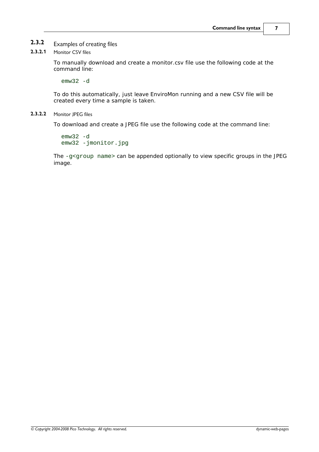### **2.3.2** Examples of creating files

#### **2.3.2.1** Monitor CSV files

To manually download and create a monitor.csv file use the following code at the command line:

emw32 -d

To do this automatically, just leave EnviroMon running and a new CSV file will be created every time a sample is taken.

#### **2.3.2.2** Monitor JPEG files

To download and create a JPEG file use the following code at the command line:

emw32 -d emw32 -jmonitor.jpg

The -g<group name> can be appended optionally to view specific groups in the JPEG image.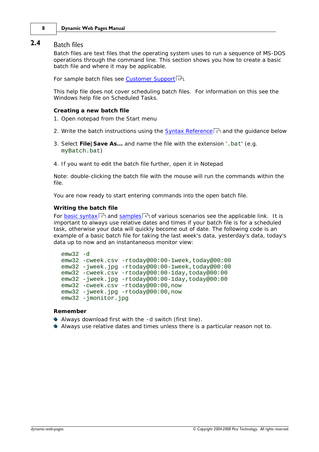#### **8 Dynamic Web Pages Manual**

#### <span id="page-11-0"></span>**2.4** Batch files

Batch files are text files that the operating system uses to run a sequence of MS-DOS operations through the command line. This section shows you how to create a basic batch file and where it may be applicable.

For sample batch files see <u>[Customer Support](#page-16-0)</u> 13 .

This help file does not cover scheduling batch files. For information on this see the Windows help file on Scheduled Tasks.

**Creating a new batch file**

- 1. Open notepad from the Start menu
- 2. Write the batch instructions using the [Syntax Reference](#page-5-1)  $z^h$  and the guidance below
- 3. Select **File|Save As...** and name the file with the extension '.bat' (e.g. myBatch.bat)
- 4. If you want to edit the batch file further, open it in Notepad

Note: double-clicking the batch file with the mouse will run the commands within the file.

You are now ready to start entering commands into the open batch file.

#### **Writing the batch file**

For <u>[basic syntax](#page-5-1)lein and [samples](#page-7-0)</u> in the various scenarios see the applicable link. It is important to always use relative dates and times if your batch file is for a scheduled task, otherwise your data will quickly become out of date. The following code is an example of a basic batch file for taking the last week's data, yesterday's data, today's data up to now and an instantaneous monitor view:

```
emw32 - demw32 -cweek.csv -rtoday@00:00-1week,today@00:00
emw32 -jweek.jpg -rtoday@00:00-1week,today@00:00
emw32 -cweek.csv -rtoday@00:00-1day,today@00:00
emw32 -jweek.jpg -rtoday@00:00-1day,today@00:00
emw32 -cweek.csv -rtoday@00:00,now
emw32 -jweek.jpg -rtoday@00:00,now
emw32 -jmonitor.jpg
```
#### **Remember**

- Always download first with the -d switch (first line).
- Always use relative dates and times unless there is a particular reason not to.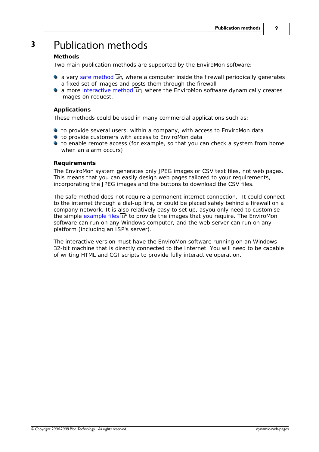# <span id="page-12-0"></span>**3** Publication methods

#### **Methods**

Two main publication methods are supported by the EnviroMon software:

- a very <u>[safe method](#page-13-0)</u> on, where a computer inside the firewall periodically generates a fixed set of images and posts them through the firewall
- a more <u>interactive method</u> & where the EnviroMon software dynamically creates images on request.

#### **Applications**

These methods could be used in many commercial applications such as:

- to provide several users, within a company, with access to EnviroMon data
- to provide customers with access to EnviroMon data
- to enable remote access (for example, so that you can check a system from home when an alarm occurs)

#### **Requirements**

The EnviroMon system generates only JPEG images or CSV text files, not web pages. This means that you can easily design web pages tailored to your requirements, incorporating the JPEG images and the buttons to download the CSV files.

The safe method does not require a permanent internet connection. It could connect to the internet through a dial-up line, or could be placed safely behind a firewall on a company network. It is also relatively easy to set up, asyou only need to customise the simple <u>[example files](#page-15-0)</u>  $\left| \right. ^{p}\right\rangle$  to provide the images that you require. The EnviroMon software can run on any Windows computer, and the web server can run on any platform (including an ISP's server).

The interactive version must have the EnviroMon software running on an Windows 32-bit machine that is directly connected to the Internet. You will need to be capable of writing HTML and CGI scripts to provide fully interactive operation.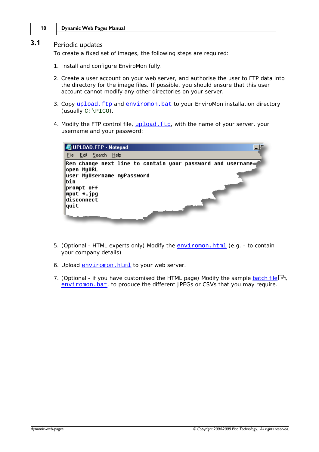# <span id="page-13-0"></span>**3.1** Periodic updates

To create a fixed set of images, the following steps are required:

- 1. Install and configure EnviroMon fully.
- 2. Create a user account on your web server, and authorise the user to FTP data into the directory for the image files. If possible, you should ensure that this user account cannot modify any other directories on your server.
- 3. Copy [upload.ftp](http://www.picotech.com/dynamic/enviromon.zip) and [enviromon.bat](http://www.picotech.com/dynamic/enviromon.zip) to your EnviroMon installation directory (usually C:\PICO).
- 4. Modify the FTP control file, upload. ftp, with the name of your server, your username and your password:



- 5. (Optional HTML experts only) Modify the [enviromon.html](http://www.picotech.com/dynamic/enviromon.zip) (e.g. to contain your company details)
- 6. Upload [enviromon.html](http://www.picotech.com/dynamic/enviromon.zip) to your web server.
- 7. (Optional if you have customised the HTML page) Modify the sample <u>batch file</u>l  $s$ <sup>h</sup>, [enviromon.bat](http://www.picotech.com/dynamic/enviromon.zip), to produce the different JPEGs or CSVs that you may require.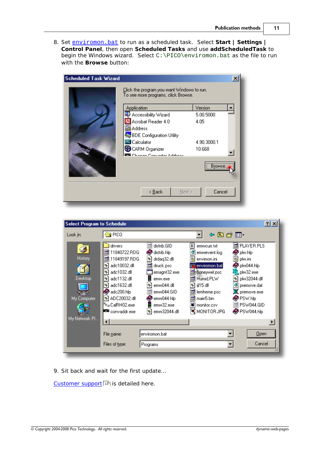8. Set [enviromon.bat](http://www.picotech.com/dynamic/enviromon.zip) to run as a scheduled task. Select **Start | Settings | Control Panel**, then open **Scheduled Tasks** and use **addScheduledTask** to begin the Windows wizard. Select C:\PICO\enviromon.bat as the file to run with the **Browse** button:



| <b>Select Program to Schedule</b>                         |                                                                                                                                                                                                                                                                                                                                                                                                                                                                                                                                                                                                                                                                                 | 2x                                                                                                                                                                                                                        |
|-----------------------------------------------------------|---------------------------------------------------------------------------------------------------------------------------------------------------------------------------------------------------------------------------------------------------------------------------------------------------------------------------------------------------------------------------------------------------------------------------------------------------------------------------------------------------------------------------------------------------------------------------------------------------------------------------------------------------------------------------------|---------------------------------------------------------------------------------------------------------------------------------------------------------------------------------------------------------------------------|
| Look in:                                                  | $\Box$ PICO                                                                                                                                                                                                                                                                                                                                                                                                                                                                                                                                                                                                                                                                     | 中国管理・                                                                                                                                                                                                                     |
| <b>History</b><br>Desktop<br>My Computer<br>My Network Pl | ê<br>圜<br>distrib.GID<br>drivers<br>emwcurr.txt<br>11840722.RDG<br>distrib.hlp<br>G<br>emwevent.log<br>€<br>ite.<br>11849197.RDG<br>∾<br>drdag32.dll<br>Ы<br>envimon.ini<br>ite.<br>adc10032.dll<br>enviromon.bat<br>is.<br>druck.psc<br>N<br>adc1032.dll<br><b>Envioneywel.psc</b><br>∾<br>emagnt32.exe<br>adc1132.dll<br>Humid.PLW<br>N<br>emw.exe<br>ira I<br>adc1632.dll<br>emw044.dll<br>iil15.dll<br>N<br>۰<br>∾<br>adc200.hlp<br>emw044.GID<br>lemheme.psc<br>in.<br>ADC20032.dll<br>।∾<br>emw044.hlp<br><b>tal</b> main5.bin<br><sup>n</sup> c <sub>o</sub> CalRH02.exe<br>emw32.exe<br><b>D</b> monitor.csv<br>™ਪ੍ਰੋ MONITORJPG<br>■ convaddr.exe<br>emw32044.dll<br>۰ | बी PLAYER.PLS<br>plw.hlp<br>蜀 plw.ini<br>plw044.hlp<br>l <mark>l</mark> l, plw32.exe<br>plw32044.dll<br>∾⊺<br>ø<br>premove.dat<br>$\mathbb X$ premove.exe<br>PSW.hlp<br>PSW044.GID<br>io.<br>PSW044.hlp<br>$\blacksquare$ |
|                                                           | enviromon.bat<br>File name:                                                                                                                                                                                                                                                                                                                                                                                                                                                                                                                                                                                                                                                     | $Q$ <sub>pen</sub>                                                                                                                                                                                                        |
|                                                           | Files of type:<br>Programs                                                                                                                                                                                                                                                                                                                                                                                                                                                                                                                                                                                                                                                      | Cancel                                                                                                                                                                                                                    |

9. Sit back and wait for the first update...

[Customer support](#page-16-0)  $\boxed{13}$  is detailed here.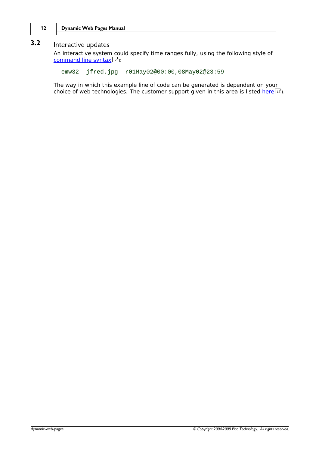## <span id="page-15-0"></span>**3.2** Interactive updates

An interactive system could specify time ranges fully, using the following style of [command line syntax](#page-5-1) 2 f:

```
emw32 -jfred.jpg -r01May02@00:00,08May02@23:59
```
The way in which this example line of code can be generated is dependent on your choice of web technologies. The customer support given in this area is listed <u>[here](#page-16-0)</u> | 13 ].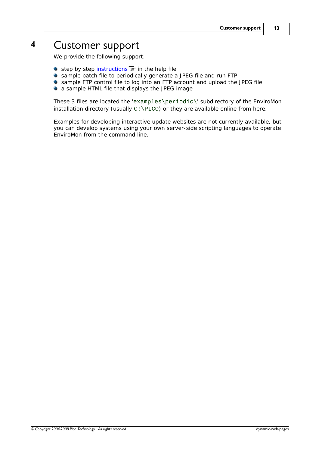# <span id="page-16-0"></span>**4** Customer support

We provide the following support:

- step by step <u>[instructions](#page-13-0)</u> কৰি in the help file
- $\bullet$ sample batch file to periodically generate a JPEG file and run FTP
- sample FTP control file to log into an FTP account and upload the JPEG file
- a sample HTML file that displays the JPEG image

These 3 files are located the 'examples\periodic\' subdirectory of the EnviroMon installation directory (usually  $C:\PECO$ ) or they are available online from here.

Examples for developing interactive update websites are not currently available, but you can develop systems using your own server-side scripting languages to operate EnviroMon from the command line.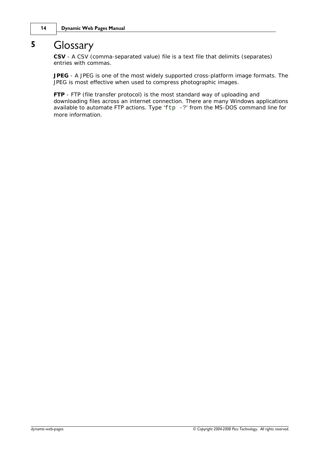# <span id="page-17-0"></span>**5** Glossary

**CSV** - A CSV (comma-separated value) file is a text file that delimits (separates) entries with commas.

**JPEG** - A JPEG is one of the most widely supported cross-platform image formats. The JPEG is most effective when used to compress photographic images.

**FTP** - FTP (file transfer protocol) is the most standard way of uploading and downloading files across an internet connection. There are many Windows applications available to automate FTP actions. Type ' $ftp -$ ?' from the MS-DOS command line for more information.